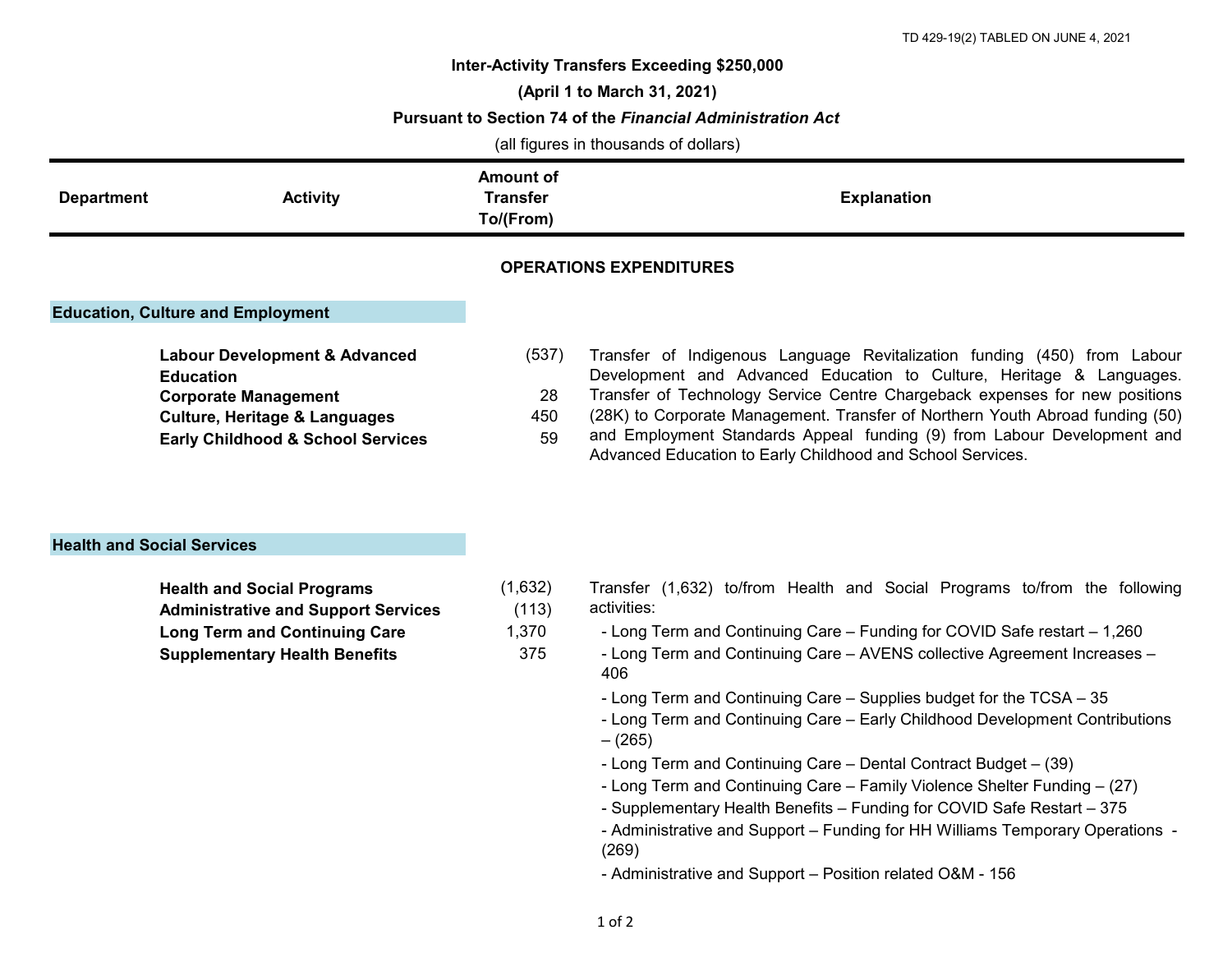## **Inter-Activity Transfers Exceeding \$250,000**

**(April 1 to March 31, 2021)**

**Pursuant to Section 74 of the** *Financial Administration Act*

(all figures in thousands of dollars)

| <b>Department</b> | <b>Activity</b> | Amount of<br><b>Transfer</b><br>To/(From) | <b>Explanation</b> |
|-------------------|-----------------|-------------------------------------------|--------------------|
|                   |                 |                                           |                    |

## **OPERATIONS EXPENDITURES**

## **Education, Culture and Employment**

| <b>Labour Development &amp; Advanced</b>     | (537) |
|----------------------------------------------|-------|
| Education                                    |       |
| <b>Corporate Management</b>                  | 28    |
| Culture, Heritage & Languages                | 450   |
| <b>Early Childhood &amp; School Services</b> | 59    |
|                                              |       |

(537) Transfer of Indigenous Language Revitalization funding (450) from Labour Development and Advanced Education to Culture, Heritage & Languages. Transfer of Technology Service Centre Chargeback expenses for new positions (28K) to Corporate Management. Transfer of Northern Youth Abroad funding (50) and Employment Standards Appeal funding (9) from Labour Development and

Advanced Education to Early Childhood and School Services.

## **Health and Social Services**

| <b>Health and Social Programs</b>          | (1,632) |
|--------------------------------------------|---------|
| <b>Administrative and Support Services</b> | (113)   |
| <b>Long Term and Continuing Care</b>       | 1.370   |
| <b>Supplementary Health Benefits</b>       | 375     |

- Transfer (1,632) to/from Health and Social Programs to/from the following activities:
- 1,370 Long Term and Continuing Care Funding for COVID Safe restart 1,260
	- Long Term and Continuing Care AVENS collective Agreement Increases 406
	- Long Term and Continuing Care Supplies budget for the TCSA 35
	- Long Term and Continuing Care Early Childhood Development Contributions – (265)
	- Long Term and Continuing Care Dental Contract Budget (39)
	- Long Term and Continuing Care Family Violence Shelter Funding (27)
	- Supplementary Health Benefits Funding for COVID Safe Restart 375
	- Administrative and Support Funding for HH Williams Temporary Operations (269)

- Administrative and Support – Position related O&M - 156